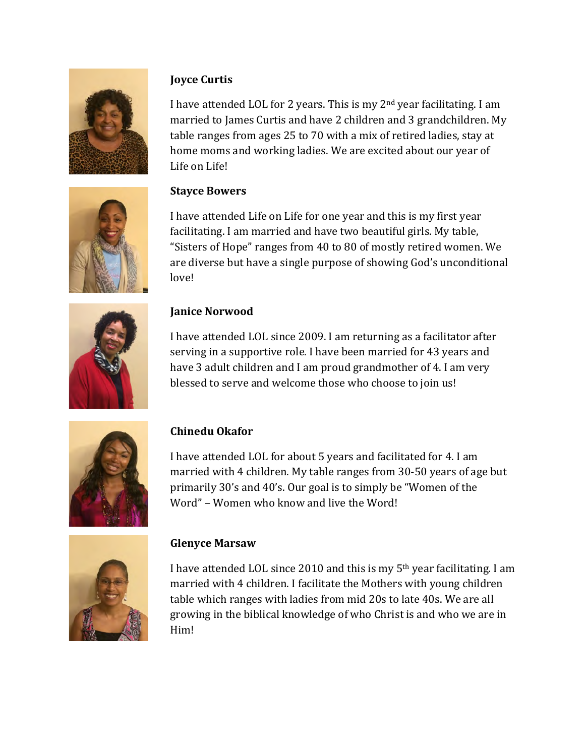

# **Joyce Curtis**

I have attended LOL for 2 years. This is my  $2<sup>nd</sup>$  year facilitating. I am married to James Curtis and have 2 children and 3 grandchildren. My table ranges from ages 25 to 70 with a mix of retired ladies, stay at home moms and working ladies. We are excited about our year of Life on Life!



# **Stayce Bowers**

I have attended Life on Life for one year and this is my first year facilitating. I am married and have two beautiful girls. My table, "Sisters of Hope" ranges from 40 to 80 of mostly retired women. We are diverse but have a single purpose of showing God's unconditional love!



## **Janice Norwood**

I have attended LOL since 2009. I am returning as a facilitator after serving in a supportive role. I have been married for 43 years and have 3 adult children and I am proud grandmother of 4. I am very blessed to serve and welcome those who choose to join us!



## **Chinedu Okafor**

I have attended LOL for about 5 years and facilitated for 4. I am married with 4 children. My table ranges from 30-50 years of age but primarily 30's and 40's. Our goal is to simply be "Women of the Word" – Women who know and live the Word!



## **Glenyce Marsaw**

I have attended LOL since 2010 and this is my  $5<sup>th</sup>$  year facilitating. I am married with 4 children. I facilitate the Mothers with young children table which ranges with ladies from mid 20s to late 40s. We are all growing in the biblical knowledge of who Christ is and who we are in Him!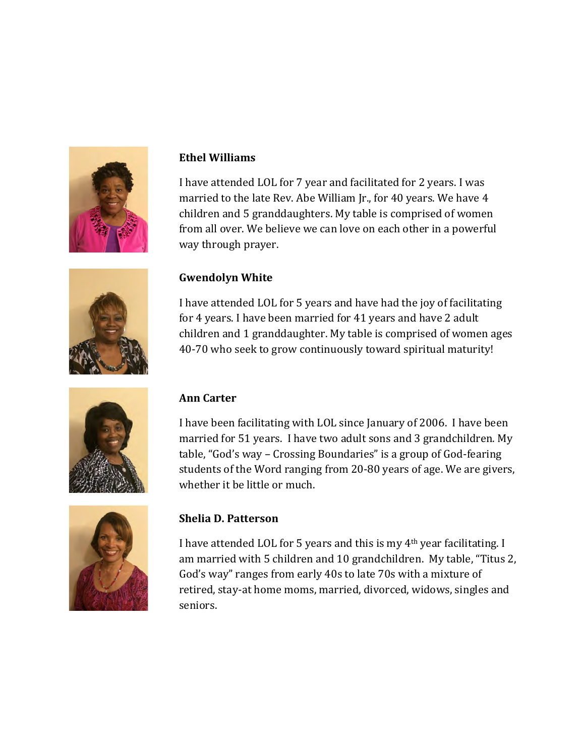

#### **Ethel Williams**

I have attended LOL for 7 year and facilitated for 2 years. I was married to the late Rev. Abe William Jr., for 40 years. We have 4 children and 5 granddaughters. My table is comprised of women from all over. We believe we can love on each other in a powerful way through prayer.



#### **Gwendolyn White**

I have attended LOL for 5 years and have had the joy of facilitating for 4 years. I have been married for 41 years and have 2 adult children and 1 granddaughter. My table is comprised of women ages 40-70 who seek to grow continuously toward spiritual maturity!



#### **Ann Carter**

I have been facilitating with LOL since January of 2006. I have been married for 51 years. I have two adult sons and 3 grandchildren. My table, "God's way – Crossing Boundaries" is a group of God-fearing students of the Word ranging from 20-80 years of age. We are givers, whether it be little or much.



#### **Shelia D. Patterson**

I have attended LOL for 5 years and this is my  $4<sup>th</sup>$  year facilitating. I am married with 5 children and 10 grandchildren. My table, "Titus 2, God's way" ranges from early 40s to late 70s with a mixture of retired, stay-at home moms, married, divorced, widows, singles and seniors.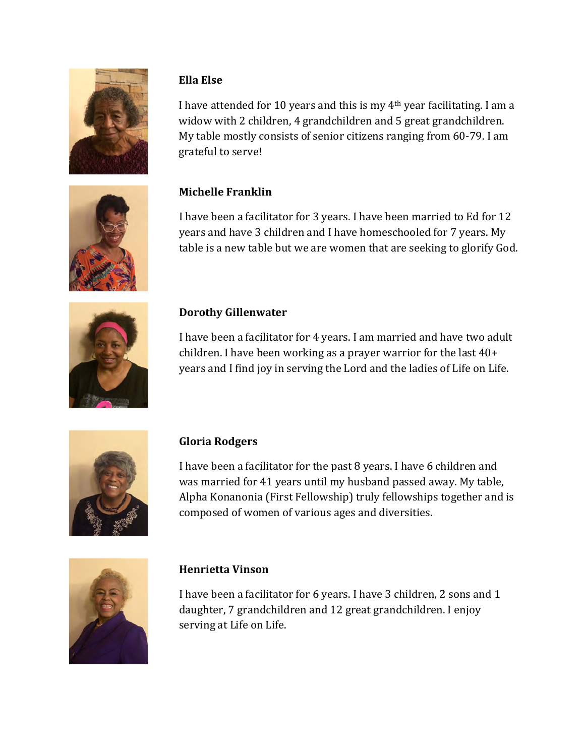

## **Ella Else**

I have attended for 10 years and this is my  $4<sup>th</sup>$  year facilitating. I am a widow with 2 children, 4 grandchildren and 5 great grandchildren. My table mostly consists of senior citizens ranging from 60-79. I am grateful to serve!



# **Michelle Franklin**

I have been a facilitator for 3 years. I have been married to Ed for 12 years and have 3 children and I have homeschooled for 7 years. My table is a new table but we are women that are seeking to glorify God.



# **Dorothy Gillenwater**

I have been a facilitator for 4 years. I am married and have two adult children. I have been working as a prayer warrior for the last  $40+$ years and I find joy in serving the Lord and the ladies of Life on Life.



# **Gloria Rodgers**

I have been a facilitator for the past 8 years. I have 6 children and was married for 41 years until my husband passed away. My table, Alpha Konanonia (First Fellowship) truly fellowships together and is composed of women of various ages and diversities.



## **Henrietta Vinson**

I have been a facilitator for 6 years. I have 3 children, 2 sons and 1 daughter, 7 grandchildren and 12 great grandchildren. I enjoy serving at Life on Life.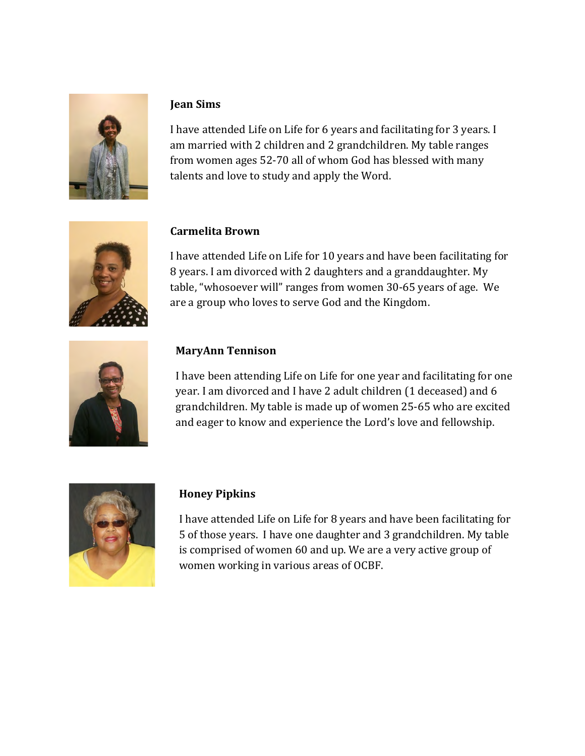

## **Jean Sims**

I have attended Life on Life for 6 years and facilitating for 3 years. I am married with 2 children and 2 grandchildren. My table ranges from women ages 52-70 all of whom God has blessed with many talents and love to study and apply the Word.



## **Carmelita Brown**

I have attended Life on Life for 10 years and have been facilitating for 8 years. I am divorced with 2 daughters and a granddaughter. My table, "whosoever will" ranges from women 30-65 years of age. We are a group who loves to serve God and the Kingdom.



## **MaryAnn Tennison**

I have been attending Life on Life for one year and facilitating for one year. I am divorced and I have 2 adult children (1 deceased) and 6 grandchildren. My table is made up of women 25-65 who are excited and eager to know and experience the Lord's love and fellowship.



#### **Honey Pipkins**

I have attended Life on Life for 8 years and have been facilitating for 5 of those years. I have one daughter and 3 grandchildren. My table is comprised of women 60 and up. We are a very active group of women working in various areas of OCBF.